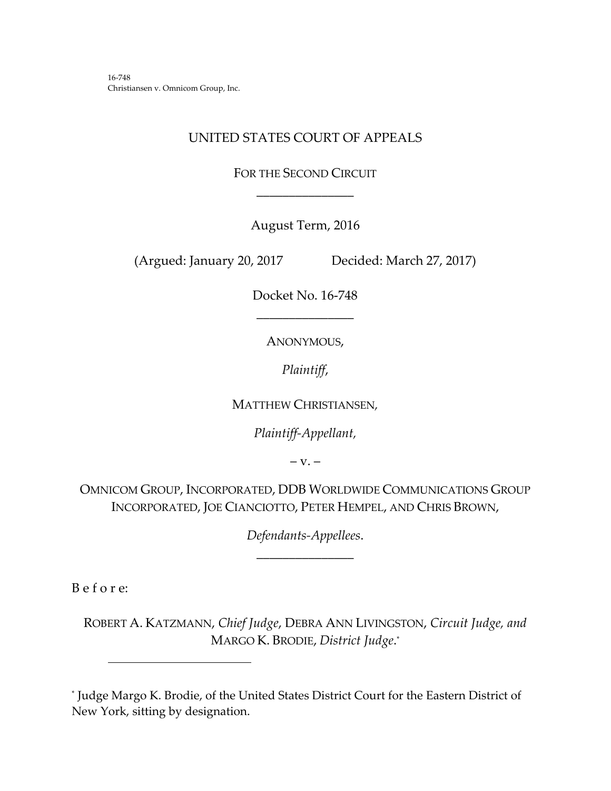16‐748 Christiansen v. Omnicom Group, Inc.

# UNITED STATES COURT OF APPEALS

FOR THE SECOND CIRCUIT \_\_\_\_\_\_\_\_\_\_\_\_\_\_\_

August Term, 2016

(Argued: January 20, 2017 Decided: March 27, 2017)

Docket No. 16‐748 \_\_\_\_\_\_\_\_\_\_\_\_\_\_\_

ANONYMOUS,

*Plaintiff*,

MATTHEW CHRISTIANSEN*,*

*Plaintiff‐Appellant,*

 $-V. -$ 

OMNICOM GROUP, INCORPORATED, DDB WORLDWIDE COMMUNICATIONS GROUP INCORPORATED, JOE CIANCIOTTO, PETER HEMPEL, AND CHRIS BROWN,

> *Defendants‐Appellees*. \_\_\_\_\_\_\_\_\_\_\_\_\_\_\_

B e f o r e:

ROBERT A. KATZMANN, *Chief Judge*, DEBRA ANN LIVINGSTON, *Circuit Judge, and* MARGO K. BRODIE, *District Judge*. \*

<sup>\*</sup> Judge Margo K. Brodie, of the United States District Court for the Eastern District of New York, sitting by designation.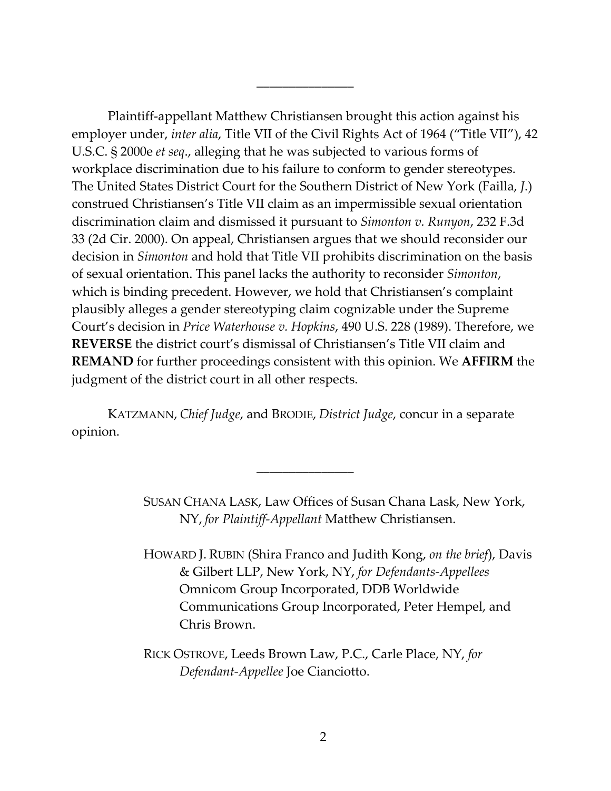Plaintiff‐appellant Matthew Christiansen brought this action against his employer under, *inter alia*, Title VII of the Civil Rights Act of 1964 ("Title VII"), 42 U.S.C. § 2000e *et seq*., alleging that he was subjected to various forms of workplace discrimination due to his failure to conform to gender stereotypes. The United States District Court for the Southern District of New York (Failla, *J*.) construed Christiansen's Title VII claim as an impermissible sexual orientation discrimination claim and dismissed it pursuant to *Simonton v. Runyon*, 232 F.3d 33 (2d Cir. 2000). On appeal, Christiansen argues that we should reconsider our decision in *Simonton* and hold that Title VII prohibits discrimination on the basis of sexual orientation. This panel lacks the authority to reconsider *Simonton*, which is binding precedent. However, we hold that Christiansen's complaint plausibly alleges a gender stereotyping claim cognizable under the Supreme Court's decision in *Price Waterhouse v. Hopkins*, 490 U.S. 228 (1989). Therefore, we **REVERSE** the district court's dismissal of Christiansen's Title VII claim and **REMAND** for further proceedings consistent with this opinion. We **AFFIRM** the judgment of the district court in all other respects.

\_\_\_\_\_\_\_\_\_\_\_\_\_\_\_

KATZMANN, *Chief Judge*, and BRODIE, *District Judge*, concur in a separate opinion.

\_\_\_\_\_\_\_\_\_\_\_\_\_\_\_

SUSAN CHANA LASK, Law Offices of Susan Chana Lask, New York, NY, *for Plaintiff‐Appellant* Matthew Christiansen.

HOWARD J. RUBIN (Shira Franco and Judith Kong, *on the brief*), Davis & Gilbert LLP, New York, NY, *for Defendants‐Appellees* Omnicom Group Incorporated, DDB Worldwide Communications Group Incorporated, Peter Hempel, and Chris Brown.

RICK OSTROVE, Leeds Brown Law, P.C., Carle Place, NY, *for Defendant‐Appellee* Joe Cianciotto.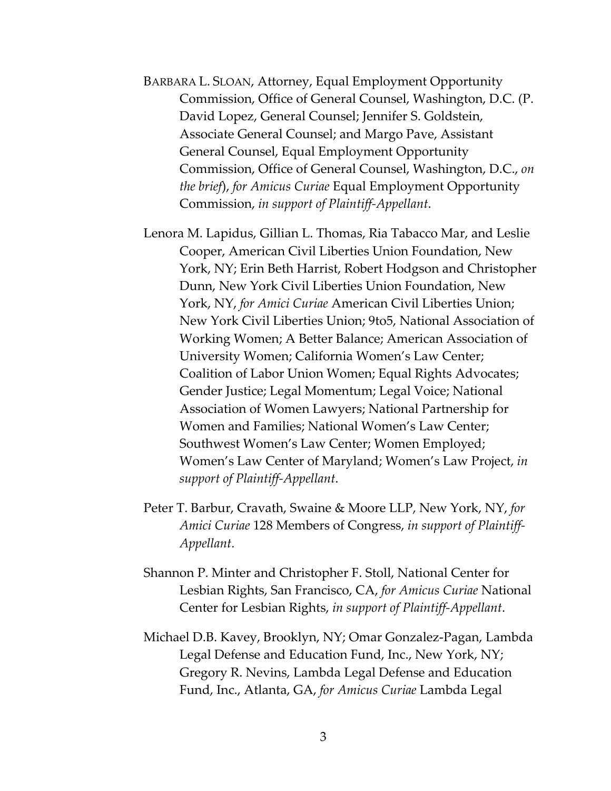- BARBARA L. SLOAN, Attorney, Equal Employment Opportunity Commission, Office of General Counsel, Washington, D.C. (P. David Lopez, General Counsel; Jennifer S. Goldstein, Associate General Counsel; and Margo Pave, Assistant General Counsel, Equal Employment Opportunity Commission, Office of General Counsel, Washington, D.C., *on the brief*), *for Amicus Curiae* Equal Employment Opportunity Commission, *in support of Plaintiff‐Appellant*.
- Lenora M. Lapidus, Gillian L. Thomas, Ria Tabacco Mar, and Leslie Cooper, American Civil Liberties Union Foundation, New York, NY; Erin Beth Harrist, Robert Hodgson and Christopher Dunn, New York Civil Liberties Union Foundation, New York, NY, *for Amici Curiae* American Civil Liberties Union; New York Civil Liberties Union; 9to5, National Association of Working Women; A Better Balance; American Association of University Women; California Women's Law Center; Coalition of Labor Union Women; Equal Rights Advocates; Gender Justice; Legal Momentum; Legal Voice; National Association of Women Lawyers; National Partnership for Women and Families; National Women's Law Center; Southwest Women's Law Center; Women Employed; Women's Law Center of Maryland; Women's Law Project, *in support of Plaintiff‐Appellant*.
- Peter T. Barbur, Cravath, Swaine & Moore LLP, New York, NY, *for Amici Curiae* 128 Members of Congress, *in support of Plaintiff‐ Appellant*.
- Shannon P. Minter and Christopher F. Stoll, National Center for Lesbian Rights, San Francisco, CA, *for Amicus Curiae* National Center for Lesbian Rights, *in support of Plaintiff‐Appellant*.
- Michael D.B. Kavey, Brooklyn, NY; Omar Gonzalez‐Pagan, Lambda Legal Defense and Education Fund, Inc., New York, NY; Gregory R. Nevins, Lambda Legal Defense and Education Fund, Inc., Atlanta, GA, *for Amicus Curiae* Lambda Legal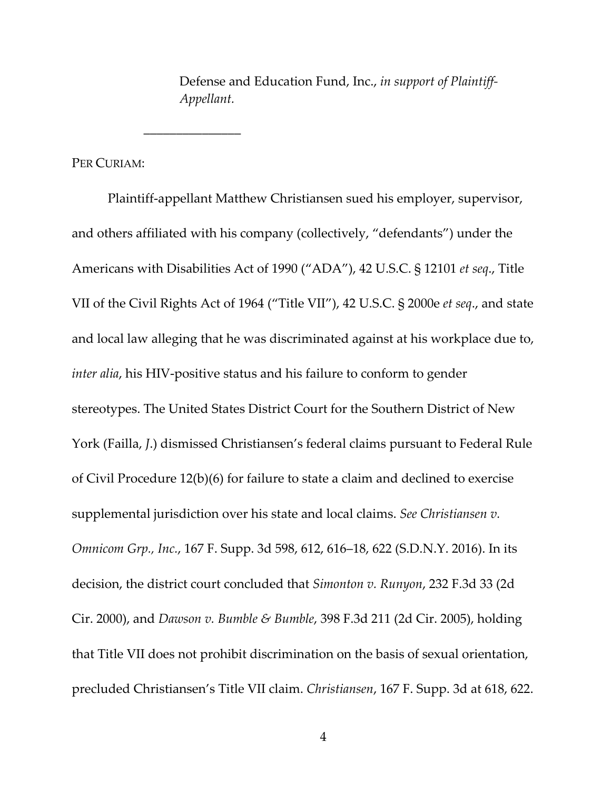Defense and Education Fund, Inc., *in support of Plaintiff‐ Appellant.* 

PER CURIAM:

\_\_\_\_\_\_\_\_\_\_\_\_\_\_\_

Plaintiff‐appellant Matthew Christiansen sued his employer, supervisor, and others affiliated with his company (collectively, "defendants") under the Americans with Disabilities Act of 1990 ("ADA"), 42 U.S.C. § 12101 *et seq*., Title VII of the Civil Rights Act of 1964 ("Title VII"), 42 U.S.C. § 2000e *et seq*., and state and local law alleging that he was discriminated against at his workplace due to, *inter alia*, his HIV‐positive status and his failure to conform to gender stereotypes. The United States District Court for the Southern District of New York (Failla, *J*.) dismissed Christiansen's federal claims pursuant to Federal Rule of Civil Procedure 12(b)(6) for failure to state a claim and declined to exercise supplemental jurisdiction over his state and local claims. *See Christiansen v. Omnicom Grp., Inc.*, 167 F. Supp. 3d 598, 612, 616–18, 622 (S.D.N.Y. 2016). In its decision, the district court concluded that *Simonton v. Runyon*, 232 F.3d 33 (2d Cir. 2000), and *Dawson v. Bumble & Bumble*, 398 F.3d 211 (2d Cir. 2005), holding that Title VII does not prohibit discrimination on the basis of sexual orientation, precluded Christiansen's Title VII claim. *Christiansen*, 167 F. Supp. 3d at 618, 622.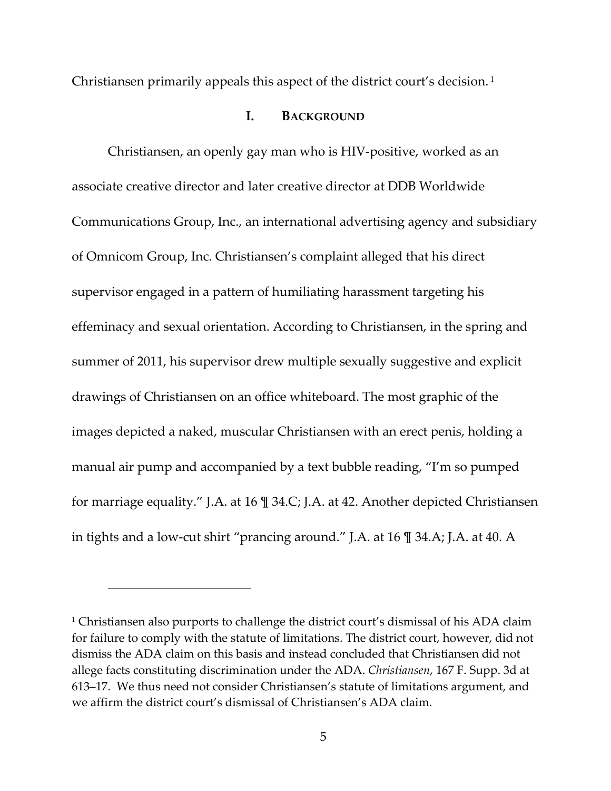Christiansen primarily appeals this aspect of the district court's decision. <sup>1</sup>

## **I. BACKGROUND**

Christiansen, an openly gay man who is HIV‐positive, worked as an associate creative director and later creative director at DDB Worldwide Communications Group, Inc., an international advertising agency and subsidiary of Omnicom Group, Inc. Christiansen's complaint alleged that his direct supervisor engaged in a pattern of humiliating harassment targeting his effeminacy and sexual orientation. According to Christiansen, in the spring and summer of 2011, his supervisor drew multiple sexually suggestive and explicit drawings of Christiansen on an office whiteboard. The most graphic of the images depicted a naked, muscular Christiansen with an erect penis, holding a manual air pump and accompanied by a text bubble reading, "I'm so pumped for marriage equality." J.A. at 16 ¶ 34.C; J.A. at 42. Another depicted Christiansen in tights and a low‐cut shirt "prancing around." J.A. at 16 ¶ 34.A; J.A. at 40. A

<sup>&</sup>lt;sup>1</sup> Christiansen also purports to challenge the district court's dismissal of his ADA claim for failure to comply with the statute of limitations. The district court, however, did not dismiss the ADA claim on this basis and instead concluded that Christiansen did not allege facts constituting discrimination under the ADA. *Christiansen*, 167 F. Supp. 3d at 613–17. We thus need not consider Christiansen's statute of limitations argument, and we affirm the district court's dismissal of Christiansen's ADA claim.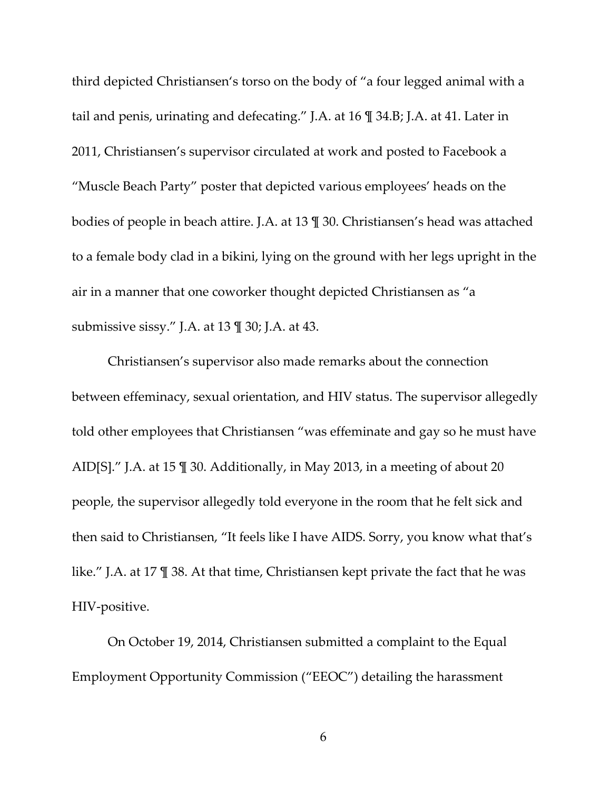third depicted Christiansen's torso on the body of "a four legged animal with a tail and penis, urinating and defecating." J.A. at 16 ¶ 34.B; J.A. at 41. Later in 2011, Christiansen's supervisor circulated at work and posted to Facebook a "Muscle Beach Party" poster that depicted various employees' heads on the bodies of people in beach attire. J.A. at 13 ¶ 30. Christiansen's head was attached to a female body clad in a bikini, lying on the ground with her legs upright in the air in a manner that one coworker thought depicted Christiansen as "a submissive sissy." J.A. at 13 ¶ 30; J.A. at 43.

Christiansen's supervisor also made remarks about the connection between effeminacy, sexual orientation, and HIV status. The supervisor allegedly told other employees that Christiansen "was effeminate and gay so he must have AID[S]." J.A. at 15 ¶ 30. Additionally, in May 2013, in a meeting of about 20 people, the supervisor allegedly told everyone in the room that he felt sick and then said to Christiansen, "It feels like I have AIDS. Sorry, you know what that's like." J.A. at 17 ¶ 38. At that time, Christiansen kept private the fact that he was HIV‐positive.

On October 19, 2014, Christiansen submitted a complaint to the Equal Employment Opportunity Commission ("EEOC") detailing the harassment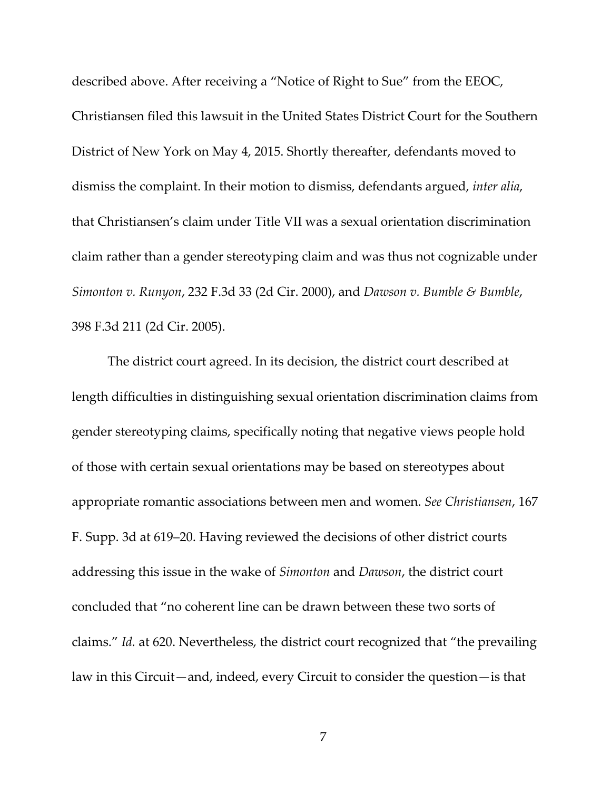described above. After receiving a "Notice of Right to Sue" from the EEOC, Christiansen filed this lawsuit in the United States District Court for the Southern District of New York on May 4, 2015. Shortly thereafter, defendants moved to dismiss the complaint. In their motion to dismiss, defendants argued, *inter alia*, that Christiansen's claim under Title VII was a sexual orientation discrimination claim rather than a gender stereotyping claim and was thus not cognizable under *Simonton v. Runyon*, 232 F.3d 33 (2d Cir. 2000), and *Dawson v. Bumble & Bumble*, 398 F.3d 211 (2d Cir. 2005).

The district court agreed. In its decision, the district court described at length difficulties in distinguishing sexual orientation discrimination claims from gender stereotyping claims, specifically noting that negative views people hold of those with certain sexual orientations may be based on stereotypes about appropriate romantic associations between men and women. *See Christiansen*, 167 F. Supp. 3d at 619–20. Having reviewed the decisions of other district courts addressing this issue in the wake of *Simonton* and *Dawson*, the district court concluded that "no coherent line can be drawn between these two sorts of claims." *Id.* at 620. Nevertheless, the district court recognized that "the prevailing law in this Circuit—and, indeed, every Circuit to consider the question—is that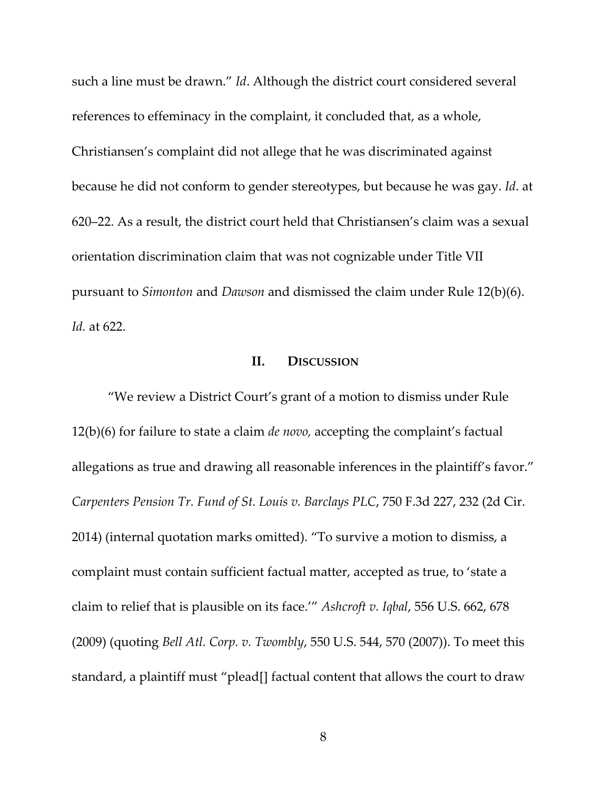such a line must be drawn." *Id*. Although the district court considered several references to effeminacy in the complaint, it concluded that, as a whole, Christiansen's complaint did not allege that he was discriminated against because he did not conform to gender stereotypes, but because he was gay. *Id*. at 620–22. As a result, the district court held that Christiansen's claim was a sexual orientation discrimination claim that was not cognizable under Title VII pursuant to *Simonton* and *Dawson* and dismissed the claim under Rule 12(b)(6). *Id.* at 622.

#### **II. DISCUSSION**

"We review a District Court's grant of a motion to dismiss under Rule 12(b)(6) for failure to state a claim *de novo,* accepting the complaint's factual allegations as true and drawing all reasonable inferences in the plaintiff's favor." *Carpenters Pension Tr. Fund of St. Louis v. Barclays PLC*, 750 F.3d 227, 232 (2d Cir. 2014) (internal quotation marks omitted). "To survive a motion to dismiss, a complaint must contain sufficient factual matter, accepted as true, to 'state a claim to relief that is plausible on its face.'" *Ashcroft v. Iqbal*, 556 U.S. 662, 678 (2009) (quoting *Bell Atl. Corp. v. Twombly*, 550 U.S. 544, 570 (2007)). To meet this standard, a plaintiff must "plead[] factual content that allows the court to draw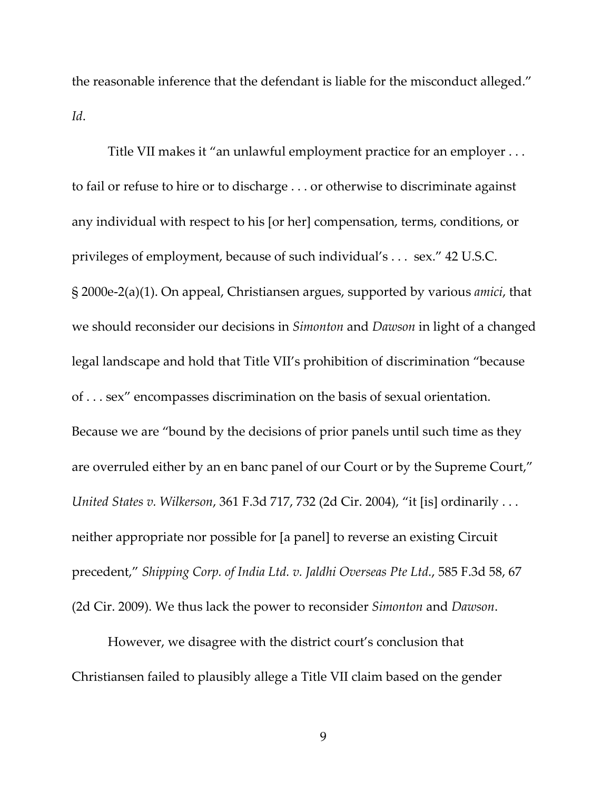the reasonable inference that the defendant is liable for the misconduct alleged." *Id*.

Title VII makes it "an unlawful employment practice for an employer . . . to fail or refuse to hire or to discharge . . . or otherwise to discriminate against any individual with respect to his [or her] compensation, terms, conditions, or privileges of employment, because of such individual's . . . sex." 42 U.S.C. § 2000e‐2(a)(1). On appeal, Christiansen argues, supported by various *amici*, that we should reconsider our decisions in *Simonton* and *Dawson* in light of a changed legal landscape and hold that Title VII's prohibition of discrimination "because of . . . sex" encompasses discrimination on the basis of sexual orientation. Because we are "bound by the decisions of prior panels until such time as they are overruled either by an en banc panel of our Court or by the Supreme Court," *United States v. Wilkerson*, 361 F.3d 717, 732 (2d Cir. 2004), "it [is] ordinarily . . . neither appropriate nor possible for [a panel] to reverse an existing Circuit precedent," *Shipping Corp. of India Ltd. v. Jaldhi Overseas Pte Ltd.*, 585 F.3d 58, 67 (2d Cir. 2009). We thus lack the power to reconsider *Simonton* and *Dawson*.

However, we disagree with the district court's conclusion that Christiansen failed to plausibly allege a Title VII claim based on the gender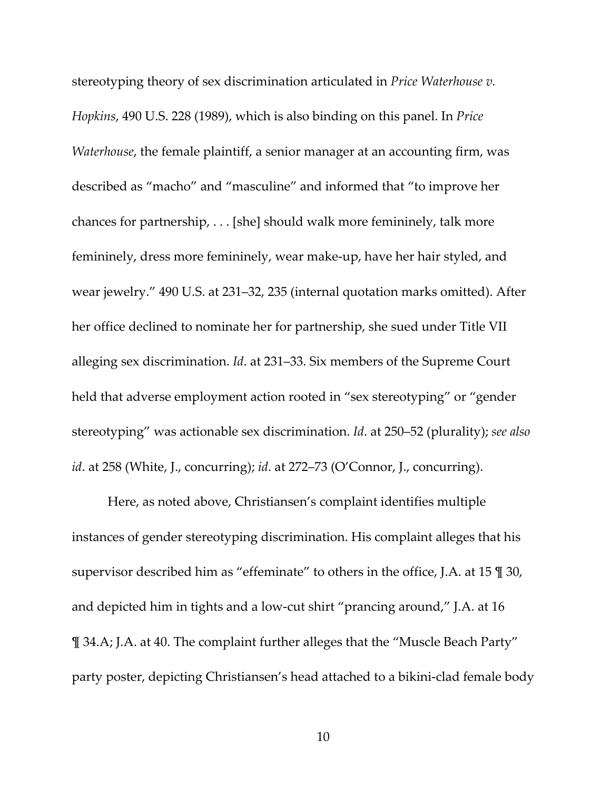stereotyping theory of sex discrimination articulated in *Price Waterhouse v. Hopkins*, 490 U.S. 228 (1989), which is also binding on this panel. In *Price Waterhouse*, the female plaintiff, a senior manager at an accounting firm, was described as "macho" and "masculine" and informed that "to improve her chances for partnership, . . . [she] should walk more femininely, talk more femininely, dress more femininely, wear make‐up, have her hair styled, and wear jewelry." 490 U.S. at 231–32, 235 (internal quotation marks omitted). After her office declined to nominate her for partnership, she sued under Title VII alleging sex discrimination. *Id*. at 231–33. Six members of the Supreme Court held that adverse employment action rooted in "sex stereotyping" or "gender stereotyping" was actionable sex discrimination. *Id*. at 250–52 (plurality); *see also id*. at 258 (White, J., concurring); *id*. at 272–73 (O'Connor, J., concurring).

Here, as noted above, Christiansen's complaint identifies multiple instances of gender stereotyping discrimination. His complaint alleges that his supervisor described him as "effeminate" to others in the office, J.A. at 15 ¶ 30, and depicted him in tights and a low‐cut shirt "prancing around," J.A. at 16 ¶ 34.A; J.A. at 40. The complaint further alleges that the "Muscle Beach Party" party poster, depicting Christiansen's head attached to a bikini‐clad female body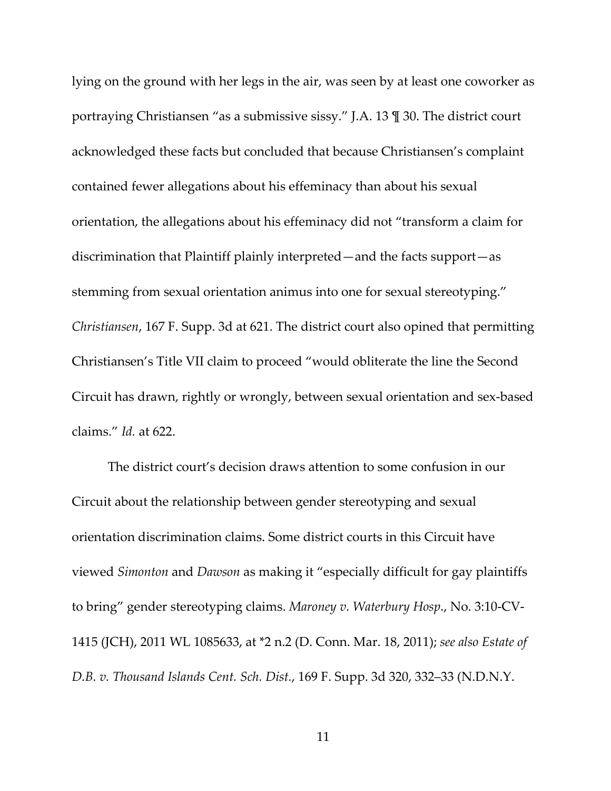lying on the ground with her legs in the air, was seen by at least one coworker as portraying Christiansen "as a submissive sissy." J.A. 13 ¶ 30. The district court acknowledged these facts but concluded that because Christiansen's complaint contained fewer allegations about his effeminacy than about his sexual orientation, the allegations about his effeminacy did not "transform a claim for discrimination that Plaintiff plainly interpreted—and the facts support—as stemming from sexual orientation animus into one for sexual stereotyping." *Christiansen*, 167 F. Supp. 3d at 621. The district court also opined that permitting Christiansen's Title VII claim to proceed "would obliterate the line the Second Circuit has drawn, rightly or wrongly, between sexual orientation and sex‐based claims." *Id.* at 622.

The district court's decision draws attention to some confusion in our Circuit about the relationship between gender stereotyping and sexual orientation discrimination claims. Some district courts in this Circuit have viewed *Simonton* and *Dawson* as making it "especially difficult for gay plaintiffs to bring" gender stereotyping claims. *Maroney v. Waterbury Hosp*., No. 3:10‐CV‐ 1415 (JCH), 2011 WL 1085633, at \*2 n.2 (D. Conn. Mar. 18, 2011); *see also Estate of D.B. v. Thousand Islands Cent. Sch. Dist.*, 169 F. Supp. 3d 320, 332–33 (N.D.N.Y.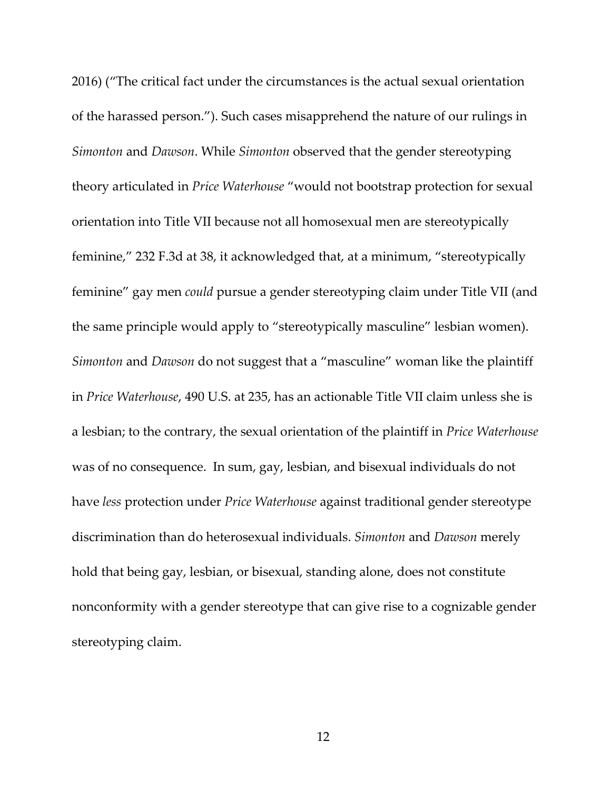2016) ("The critical fact under the circumstances is the actual sexual orientation of the harassed person."). Such cases misapprehend the nature of our rulings in *Simonton* and *Dawson*. While *Simonton* observed that the gender stereotyping theory articulated in *Price Waterhouse* "would not bootstrap protection for sexual orientation into Title VII because not all homosexual men are stereotypically feminine," 232 F.3d at 38, it acknowledged that, at a minimum, "stereotypically feminine" gay men *could* pursue a gender stereotyping claim under Title VII (and the same principle would apply to "stereotypically masculine" lesbian women). *Simonton* and *Dawson* do not suggest that a "masculine" woman like the plaintiff in *Price Waterhouse*, 490 U.S. at 235, has an actionable Title VII claim unless she is a lesbian; to the contrary, the sexual orientation of the plaintiff in *Price Waterhouse* was of no consequence. In sum, gay, lesbian, and bisexual individuals do not have *less* protection under *Price Waterhouse* against traditional gender stereotype discrimination than do heterosexual individuals. *Simonton* and *Dawson* merely hold that being gay, lesbian, or bisexual, standing alone, does not constitute nonconformity with a gender stereotype that can give rise to a cognizable gender stereotyping claim.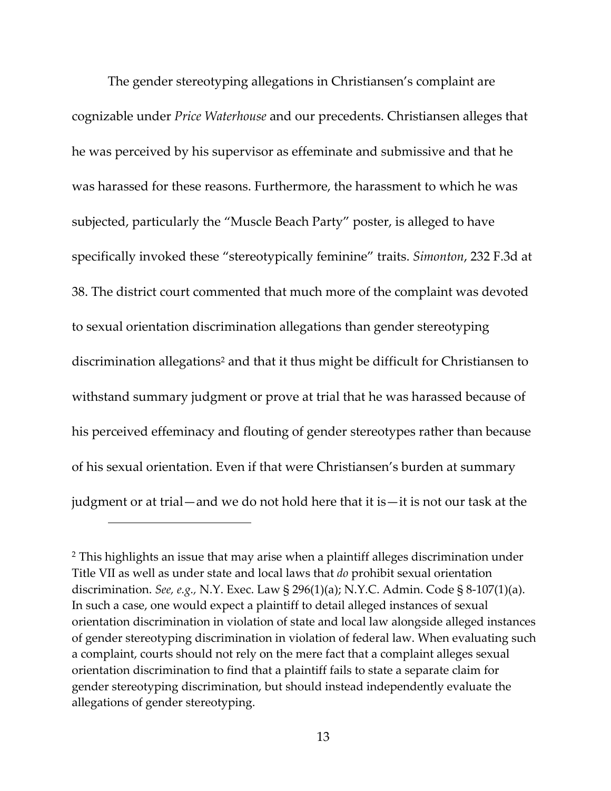The gender stereotyping allegations in Christiansen's complaint are cognizable under *Price Waterhouse* and our precedents. Christiansen alleges that he was perceived by his supervisor as effeminate and submissive and that he was harassed for these reasons. Furthermore, the harassment to which he was subjected, particularly the "Muscle Beach Party" poster, is alleged to have specifically invoked these "stereotypically feminine" traits. *Simonton*, 232 F.3d at 38. The district court commented that much more of the complaint was devoted to sexual orientation discrimination allegations than gender stereotyping discrimination allegations<sup>2</sup> and that it thus might be difficult for Christiansen to withstand summary judgment or prove at trial that he was harassed because of his perceived effeminacy and flouting of gender stereotypes rather than because of his sexual orientation. Even if that were Christiansen's burden at summary judgment or at trial—and we do not hold here that it is—it is not our task at the

<sup>&</sup>lt;sup>2</sup> This highlights an issue that may arise when a plaintiff alleges discrimination under Title VII as well as under state and local laws that *do* prohibit sexual orientation discrimination. *See, e.g.,* N.Y. Exec. Law § 296(1)(a); N.Y.C. Admin. Code § 8‐107(1)(a). In such a case, one would expect a plaintiff to detail alleged instances of sexual orientation discrimination in violation of state and local law alongside alleged instances of gender stereotyping discrimination in violation of federal law. When evaluating such a complaint, courts should not rely on the mere fact that a complaint alleges sexual orientation discrimination to find that a plaintiff fails to state a separate claim for gender stereotyping discrimination, but should instead independently evaluate the allegations of gender stereotyping.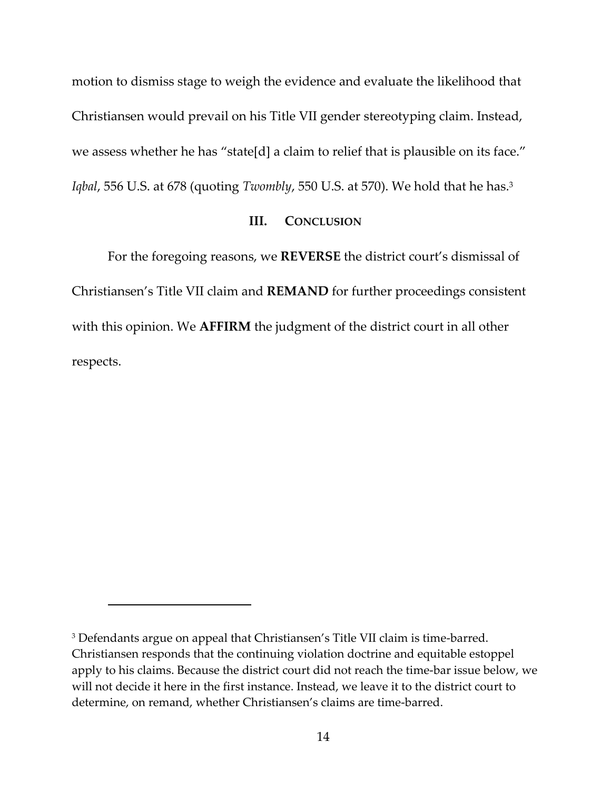motion to dismiss stage to weigh the evidence and evaluate the likelihood that Christiansen would prevail on his Title VII gender stereotyping claim. Instead, we assess whether he has "state[d] a claim to relief that is plausible on its face." *Iqbal*, 556 U.S. at 678 (quoting *Twombly*, 550 U.S. at 570). We hold that he has.3

# **III. CONCLUSION**

For the foregoing reasons, we **REVERSE** the district court's dismissal of Christiansen's Title VII claim and **REMAND** for further proceedings consistent with this opinion. We **AFFIRM** the judgment of the district court in all other respects.

<sup>&</sup>lt;sup>3</sup> Defendants argue on appeal that Christiansen's Title VII claim is time-barred. Christiansen responds that the continuing violation doctrine and equitable estoppel apply to his claims. Because the district court did not reach the time‐bar issue below, we will not decide it here in the first instance. Instead, we leave it to the district court to determine, on remand, whether Christiansen's claims are time‐barred.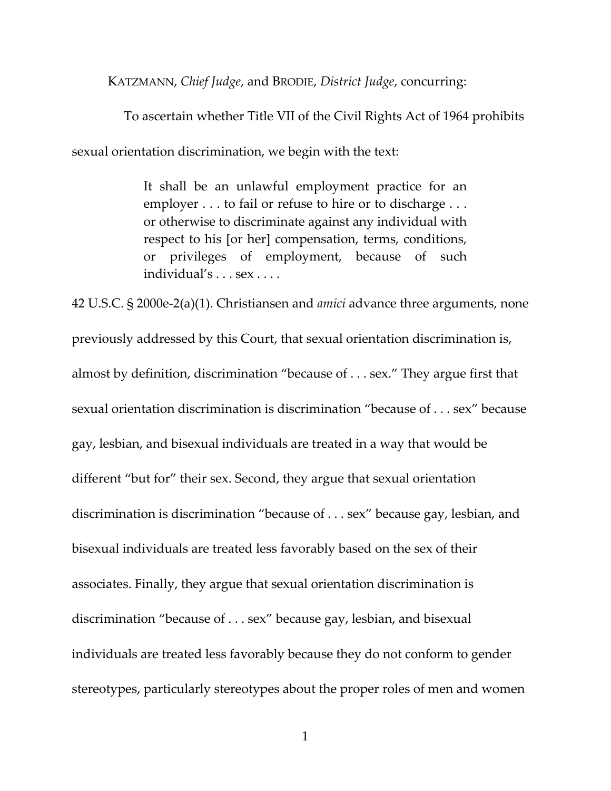KATZMANN, *Chief Judge*, and BRODIE, *District Judge*, concurring:

 To ascertain whether Title VII of the Civil Rights Act of 1964 prohibits sexual orientation discrimination, we begin with the text:

> It shall be an unlawful employment practice for an employer . . . to fail or refuse to hire or to discharge . . . or otherwise to discriminate against any individual with respect to his [or her] compensation, terms, conditions, or privileges of employment, because of such individual's . . . sex . . . .

42 U.S.C. § 2000e‐2(a)(1). Christiansen and *amici* advance three arguments, none previously addressed by this Court, that sexual orientation discrimination is, almost by definition, discrimination "because of . . . sex." They argue first that sexual orientation discrimination is discrimination "because of . . . sex" because gay, lesbian, and bisexual individuals are treated in a way that would be different "but for" their sex. Second, they argue that sexual orientation discrimination is discrimination "because of . . . sex" because gay, lesbian, and bisexual individuals are treated less favorably based on the sex of their associates. Finally, they argue that sexual orientation discrimination is discrimination "because of . . . sex" because gay, lesbian, and bisexual individuals are treated less favorably because they do not conform to gender stereotypes, particularly stereotypes about the proper roles of men and women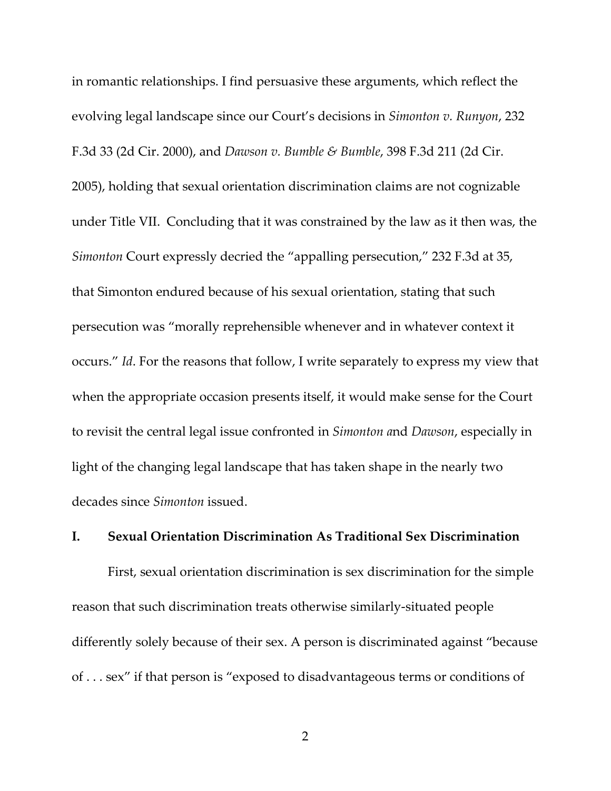in romantic relationships. I find persuasive these arguments, which reflect the evolving legal landscape since our Court's decisions in *Simonton v. Runyon*, 232 F.3d 33 (2d Cir. 2000), and *Dawson v. Bumble & Bumble*, 398 F.3d 211 (2d Cir. 2005), holding that sexual orientation discrimination claims are not cognizable under Title VII. Concluding that it was constrained by the law as it then was, the *Simonton* Court expressly decried the "appalling persecution," 232 F.3d at 35, that Simonton endured because of his sexual orientation, stating that such persecution was "morally reprehensible whenever and in whatever context it occurs." *Id*. For the reasons that follow, I write separately to express my view that when the appropriate occasion presents itself, it would make sense for the Court to revisit the central legal issue confronted in *Simonton a*nd *Dawson*, especially in light of the changing legal landscape that has taken shape in the nearly two decades since *Simonton* issued.

#### **I. Sexual Orientation Discrimination As Traditional Sex Discrimination**

First, sexual orientation discrimination is sex discrimination for the simple reason that such discrimination treats otherwise similarly‐situated people differently solely because of their sex. A person is discriminated against "because of . . . sex" if that person is "exposed to disadvantageous terms or conditions of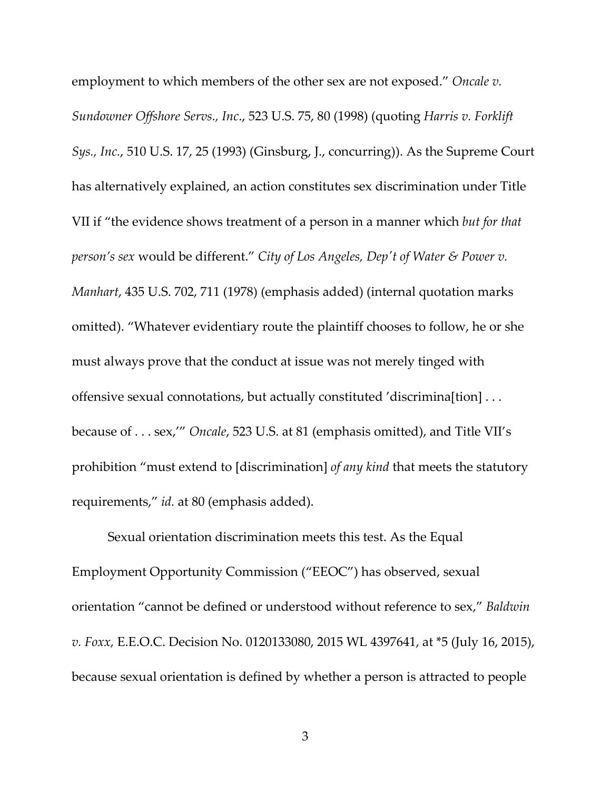employment to which members of the other sex are not exposed." *Oncale v. Sundowner Offshore Servs., Inc*., 523 U.S. 75, 80 (1998) (quoting *Harris v. Forklift Sys., Inc.*, 510 U.S. 17, 25 (1993) (Ginsburg, J., concurring)). As the Supreme Court has alternatively explained, an action constitutes sex discrimination under Title VII if "the evidence shows treatment of a person in a manner which *but for that person's sex* would be different." *City of Los Angeles, Depʹt of Water & Power v. Manhart*, 435 U.S. 702, 711 (1978) (emphasis added) (internal quotation marks omitted). "Whatever evidentiary route the plaintiff chooses to follow, he or she must always prove that the conduct at issue was not merely tinged with offensive sexual connotations, but actually constituted 'discrimina[tion] . . . because of . . . sex,'" *Oncale*, 523 U.S. at 81 (emphasis omitted), and Title VII's prohibition "must extend to [discrimination] *of any kind* that meets the statutory requirements," *id.* at 80 (emphasis added).

Sexual orientation discrimination meets this test. As the Equal Employment Opportunity Commission ("EEOC") has observed, sexual orientation "cannot be defined or understood without reference to sex," *Baldwin v. Foxx,* E.E.O.C. Decision No. 0120133080, 2015 WL 4397641, at \*5 (July 16, 2015), because sexual orientation is defined by whether a person is attracted to people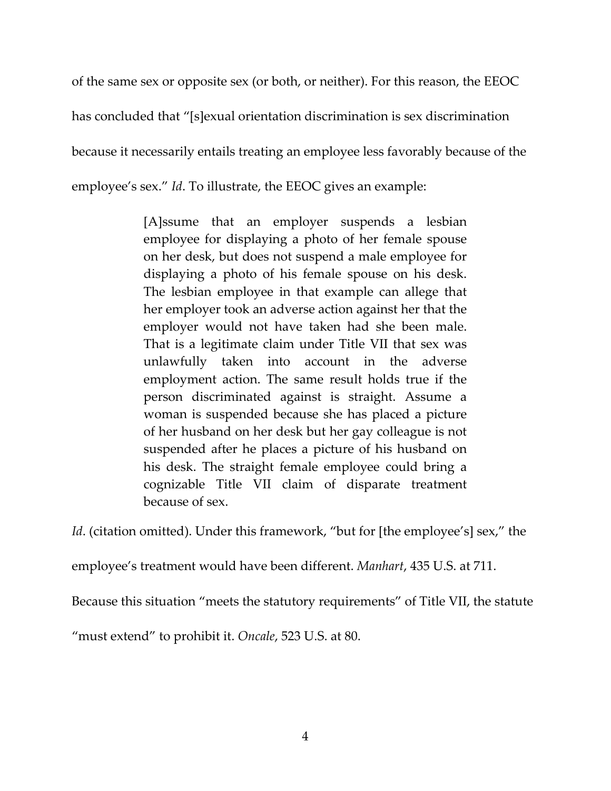of the same sex or opposite sex (or both, or neither). For this reason, the EEOC

has concluded that "[s]exual orientation discrimination is sex discrimination

because it necessarily entails treating an employee less favorably because of the

employee's sex." *Id*. To illustrate, the EEOC gives an example:

[A]ssume that an employer suspends a lesbian employee for displaying a photo of her female spouse on her desk, but does not suspend a male employee for displaying a photo of his female spouse on his desk. The lesbian employee in that example can allege that her employer took an adverse action against her that the employer would not have taken had she been male. That is a legitimate claim under Title VII that sex was unlawfully taken into account in the adverse employment action. The same result holds true if the person discriminated against is straight. Assume a woman is suspended because she has placed a picture of her husband on her desk but her gay colleague is not suspended after he places a picture of his husband on his desk. The straight female employee could bring a cognizable Title VII claim of disparate treatment because of sex.

*Id.* (citation omitted). Under this framework, "but for [the employee's] sex," the

employee's treatment would have been different. *Manhart*, 435 U.S. at 711.

Because this situation "meets the statutory requirements" of Title VII, the statute

"must extend" to prohibit it. *Oncale*, 523 U.S. at 80.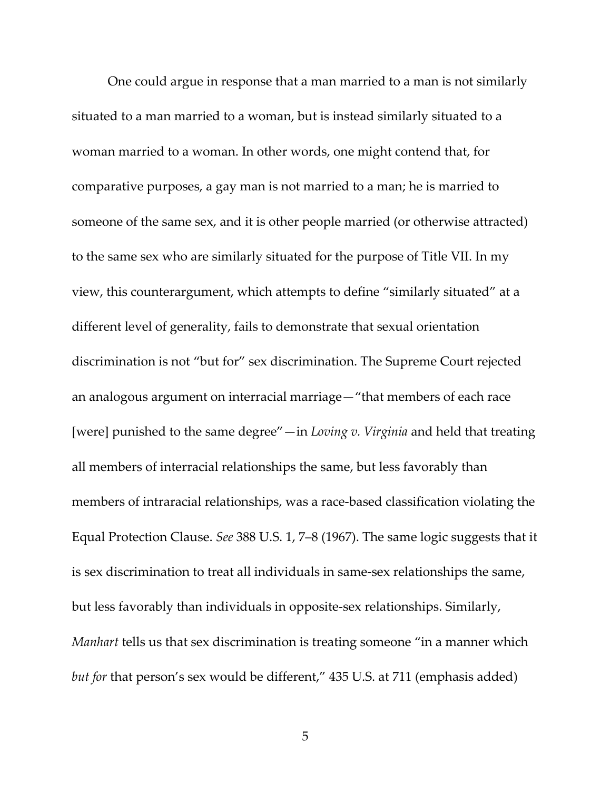One could argue in response that a man married to a man is not similarly situated to a man married to a woman, but is instead similarly situated to a woman married to a woman. In other words, one might contend that, for comparative purposes, a gay man is not married to a man; he is married to someone of the same sex, and it is other people married (or otherwise attracted) to the same sex who are similarly situated for the purpose of Title VII. In my view, this counterargument, which attempts to define "similarly situated" at a different level of generality, fails to demonstrate that sexual orientation discrimination is not "but for" sex discrimination. The Supreme Court rejected an analogous argument on interracial marriage—"that members of each race [were] punished to the same degree"—in *Loving v. Virginia* and held that treating all members of interracial relationships the same, but less favorably than members of intraracial relationships, was a race-based classification violating the Equal Protection Clause. *See* 388 U.S. 1, 7–8 (1967). The same logic suggests that it is sex discrimination to treat all individuals in same‐sex relationships the same, but less favorably than individuals in opposite‐sex relationships. Similarly, *Manhart* tells us that sex discrimination is treating someone "in a manner which *but for* that person's sex would be different," 435 U.S. at 711 (emphasis added)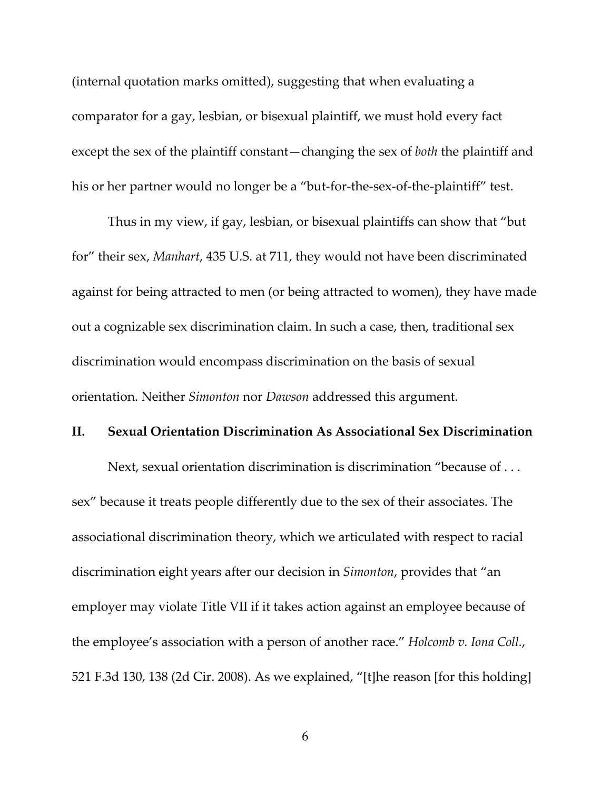(internal quotation marks omitted), suggesting that when evaluating a comparator for a gay, lesbian, or bisexual plaintiff, we must hold every fact except the sex of the plaintiff constant—changing the sex of *both* the plaintiff and his or her partner would no longer be a "but-for-the-sex-of-the-plaintiff" test.

Thus in my view, if gay, lesbian, or bisexual plaintiffs can show that "but for" their sex, *Manhart*, 435 U.S. at 711, they would not have been discriminated against for being attracted to men (or being attracted to women), they have made out a cognizable sex discrimination claim. In such a case, then, traditional sex discrimination would encompass discrimination on the basis of sexual orientation. Neither *Simonton* nor *Dawson* addressed this argument.

## **II. Sexual Orientation Discrimination As Associational Sex Discrimination**

Next, sexual orientation discrimination is discrimination "because of . . . sex" because it treats people differently due to the sex of their associates. The associational discrimination theory, which we articulated with respect to racial discrimination eight years after our decision in *Simonton*, provides that "an employer may violate Title VII if it takes action against an employee because of the employee's association with a person of another race." *Holcomb v. Iona Coll.*, 521 F.3d 130, 138 (2d Cir. 2008). As we explained, "[t]he reason [for this holding]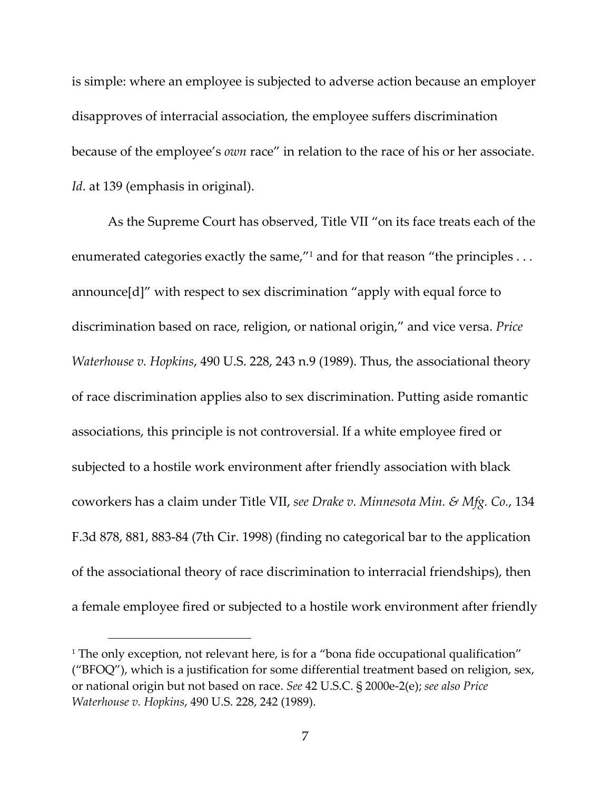is simple: where an employee is subjected to adverse action because an employer disapproves of interracial association, the employee suffers discrimination because of the employee's *own* race" in relation to the race of his or her associate. *Id*. at 139 (emphasis in original).

As the Supreme Court has observed, Title VII "on its face treats each of the enumerated categories exactly the same,"<sup>1</sup> and for that reason "the principles . . . announce[d]" with respect to sex discrimination "apply with equal force to discrimination based on race, religion, or national origin," and vice versa. *Price Waterhouse v. Hopkins*, 490 U.S. 228, 243 n.9 (1989). Thus, the associational theory of race discrimination applies also to sex discrimination. Putting aside romantic associations, this principle is not controversial. If a white employee fired or subjected to a hostile work environment after friendly association with black coworkers has a claim under Title VII, *see Drake v. Minnesota Min. & Mfg. Co.*, 134 F.3d 878, 881, 883‐84 (7th Cir. 1998) (finding no categorical bar to the application of the associational theory of race discrimination to interracial friendships), then a female employee fired or subjected to a hostile work environment after friendly

<sup>&</sup>lt;sup>1</sup> The only exception, not relevant here, is for a "bona fide occupational qualification" ("BFOQ"), which is a justification for some differential treatment based on religion, sex, or national origin but not based on race. *See* 42 U.S.C. § 2000e‐2(e); *see also Price Waterhouse v. Hopkins*, 490 U.S. 228, 242 (1989).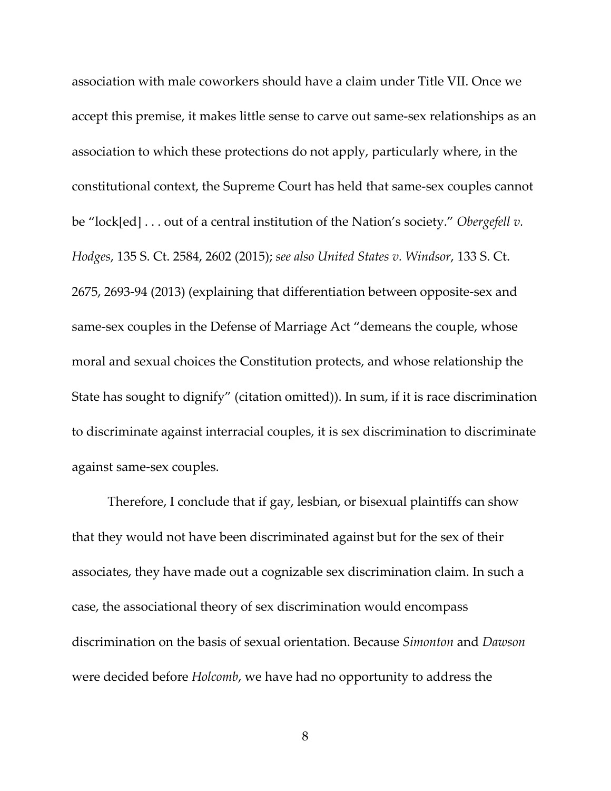association with male coworkers should have a claim under Title VII. Once we accept this premise, it makes little sense to carve out same‐sex relationships as an association to which these protections do not apply, particularly where, in the constitutional context, the Supreme Court has held that same‐sex couples cannot be "lock[ed] . . . out of a central institution of the Nation's society." *Obergefell v. Hodges*, 135 S. Ct. 2584, 2602 (2015); *see also United States v. Windsor*, 133 S. Ct. 2675, 2693‐94 (2013) (explaining that differentiation between opposite‐sex and same‐sex couples in the Defense of Marriage Act "demeans the couple, whose moral and sexual choices the Constitution protects, and whose relationship the State has sought to dignify" (citation omitted)). In sum, if it is race discrimination to discriminate against interracial couples, it is sex discrimination to discriminate against same‐sex couples.

Therefore, I conclude that if gay, lesbian, or bisexual plaintiffs can show that they would not have been discriminated against but for the sex of their associates, they have made out a cognizable sex discrimination claim. In such a case, the associational theory of sex discrimination would encompass discrimination on the basis of sexual orientation. Because *Simonton* and *Dawson* were decided before *Holcomb*, we have had no opportunity to address the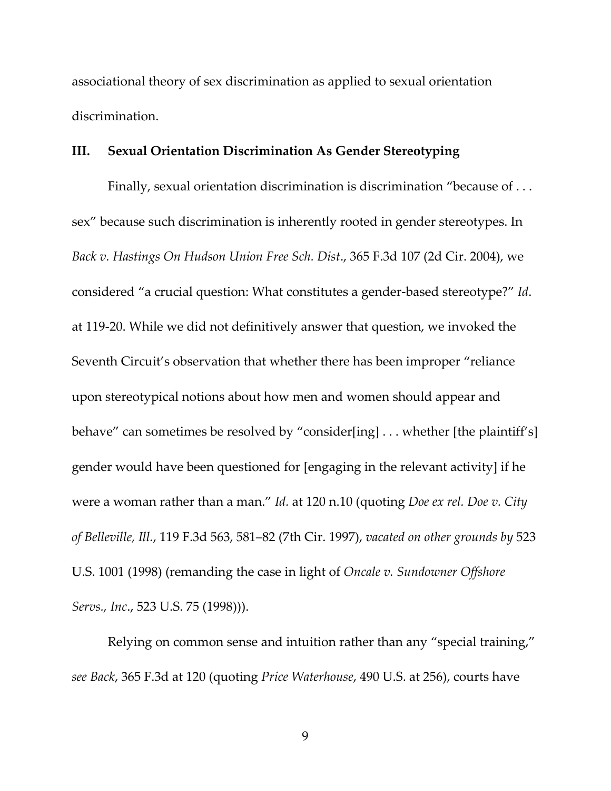associational theory of sex discrimination as applied to sexual orientation discrimination.

## **III. Sexual Orientation Discrimination As Gender Stereotyping**

Finally, sexual orientation discrimination is discrimination "because of . . . sex" because such discrimination is inherently rooted in gender stereotypes. In *Back v. Hastings On Hudson Union Free Sch. Dist*., 365 F.3d 107 (2d Cir. 2004), we considered "a crucial question: What constitutes a gender‐based stereotype?" *Id*. at 119‐20. While we did not definitively answer that question, we invoked the Seventh Circuit's observation that whether there has been improper "reliance upon stereotypical notions about how men and women should appear and behave" can sometimes be resolved by "consider[ing] . . . whether [the plaintiff's] gender would have been questioned for [engaging in the relevant activity] if he were a woman rather than a man." *Id.* at 120 n.10 (quoting *Doe ex rel. Doe v. City of Belleville, Ill.*, 119 F.3d 563, 581–82 (7th Cir. 1997), *vacated on other grounds by* 523 U.S. 1001 (1998) (remanding the case in light of *Oncale v. Sundowner Offshore Servs., Inc*., 523 U.S. 75 (1998))).

Relying on common sense and intuition rather than any "special training," *see Back*, 365 F.3d at 120 (quoting *Price Waterhouse*, 490 U.S. at 256), courts have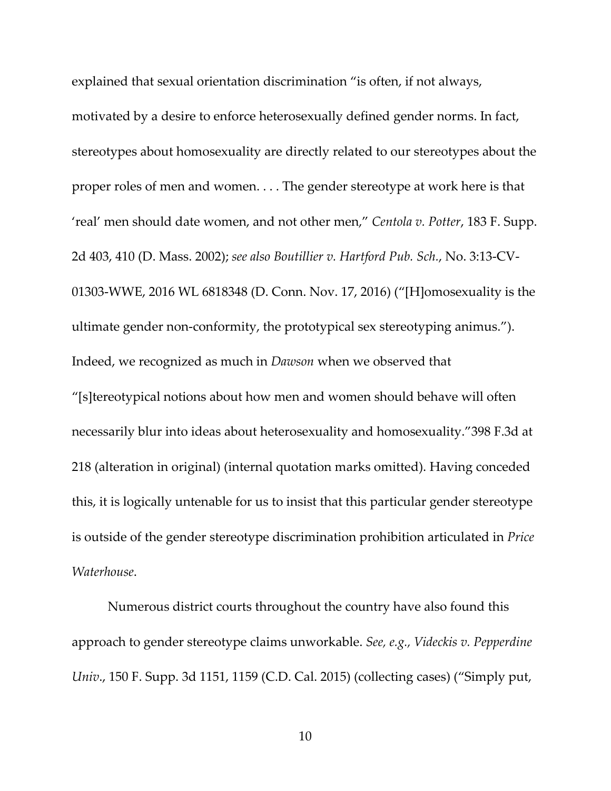explained that sexual orientation discrimination "is often, if not always,

motivated by a desire to enforce heterosexually defined gender norms. In fact, stereotypes about homosexuality are directly related to our stereotypes about the proper roles of men and women. . . . The gender stereotype at work here is that 'real' men should date women, and not other men," *Centola v. Potter*, 183 F. Supp. 2d 403, 410 (D. Mass. 2002); *see also Boutillier v. Hartford Pub. Sch.*, No. 3:13‐CV‐ 01303‐WWE, 2016 WL 6818348 (D. Conn. Nov. 17, 2016) ("[H]omosexuality is the ultimate gender non‐conformity, the prototypical sex stereotyping animus."). Indeed, we recognized as much in *Dawson* when we observed that

"[s]tereotypical notions about how men and women should behave will often necessarily blur into ideas about heterosexuality and homosexuality."398 F.3d at 218 (alteration in original) (internal quotation marks omitted). Having conceded this, it is logically untenable for us to insist that this particular gender stereotype is outside of the gender stereotype discrimination prohibition articulated in *Price Waterhouse*.

Numerous district courts throughout the country have also found this approach to gender stereotype claims unworkable. *See, e.g., Videckis v. Pepperdine Univ*., 150 F. Supp. 3d 1151, 1159 (C.D. Cal. 2015) (collecting cases) ("Simply put,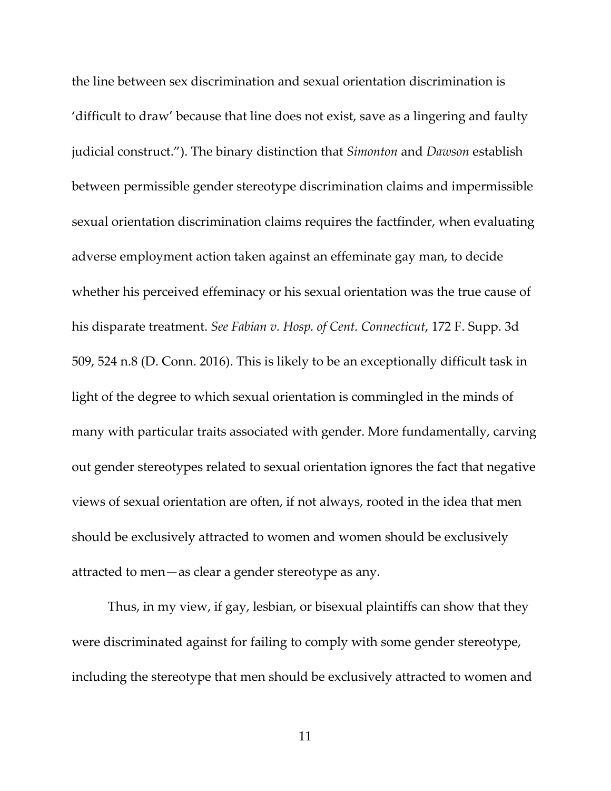the line between sex discrimination and sexual orientation discrimination is 'difficult to draw' because that line does not exist, save as a lingering and faulty judicial construct."). The binary distinction that *Simonton* and *Dawson* establish between permissible gender stereotype discrimination claims and impermissible sexual orientation discrimination claims requires the factfinder, when evaluating adverse employment action taken against an effeminate gay man, to decide whether his perceived effeminacy or his sexual orientation was the true cause of his disparate treatment. *See Fabian v. Hosp. of Cent. Connecticut*, 172 F. Supp. 3d 509, 524 n.8 (D. Conn. 2016). This is likely to be an exceptionally difficult task in light of the degree to which sexual orientation is commingled in the minds of many with particular traits associated with gender. More fundamentally, carving out gender stereotypes related to sexual orientation ignores the fact that negative views of sexual orientation are often, if not always, rooted in the idea that men should be exclusively attracted to women and women should be exclusively attracted to men—as clear a gender stereotype as any.

Thus, in my view, if gay, lesbian, or bisexual plaintiffs can show that they were discriminated against for failing to comply with some gender stereotype, including the stereotype that men should be exclusively attracted to women and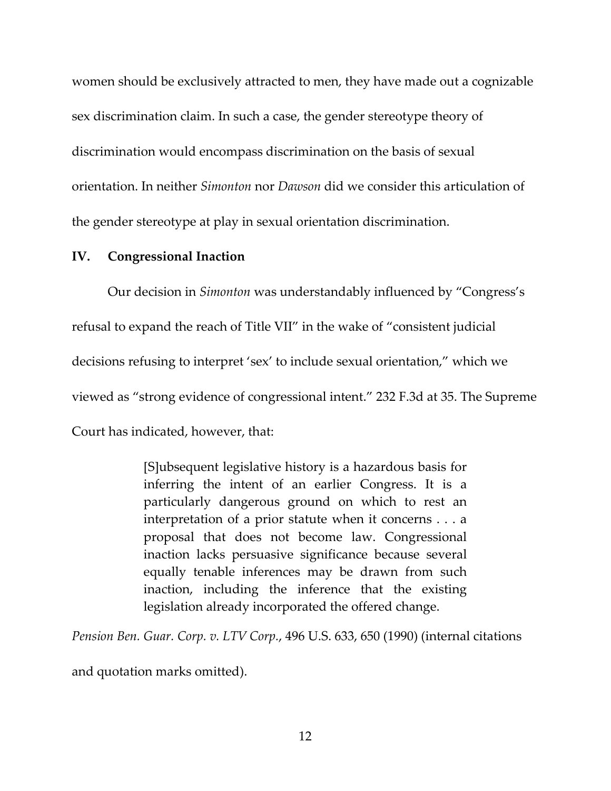women should be exclusively attracted to men, they have made out a cognizable sex discrimination claim. In such a case, the gender stereotype theory of discrimination would encompass discrimination on the basis of sexual orientation. In neither *Simonton* nor *Dawson* did we consider this articulation of the gender stereotype at play in sexual orientation discrimination.

### **IV. Congressional Inaction**

Our decision in *Simonton* was understandably influenced by "Congress's refusal to expand the reach of Title VII" in the wake of "consistent judicial decisions refusing to interpret 'sex' to include sexual orientation," which we viewed as "strong evidence of congressional intent." 232 F.3d at 35. The Supreme Court has indicated, however, that:

> [S]ubsequent legislative history is a hazardous basis for inferring the intent of an earlier Congress. It is a particularly dangerous ground on which to rest an interpretation of a prior statute when it concerns . . . a proposal that does not become law. Congressional inaction lacks persuasive significance because several equally tenable inferences may be drawn from such inaction, including the inference that the existing legislation already incorporated the offered change.

*Pension Ben. Guar. Corp. v. LTV Corp.*, 496 U.S. 633, 650 (1990) (internal citations

and quotation marks omitted).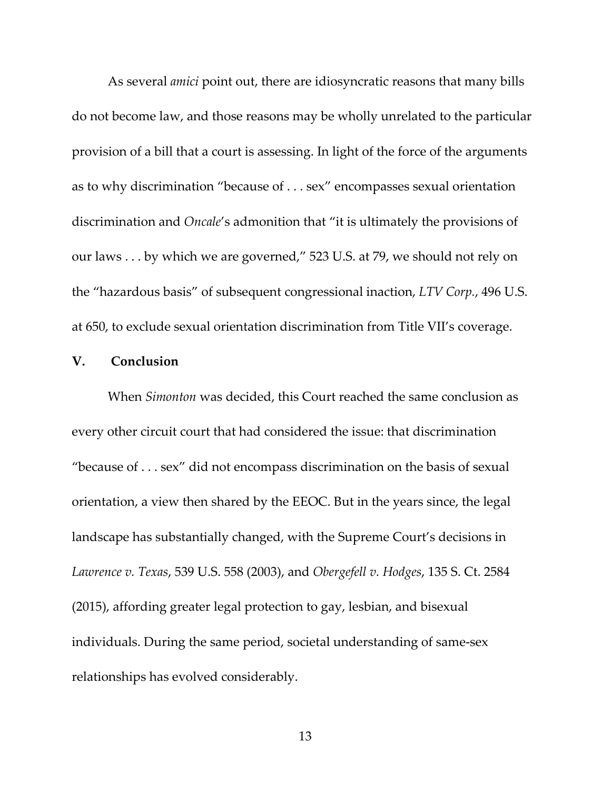As several *amici* point out, there are idiosyncratic reasons that many bills do not become law, and those reasons may be wholly unrelated to the particular provision of a bill that a court is assessing. In light of the force of the arguments as to why discrimination "because of . . . sex" encompasses sexual orientation discrimination and *Oncale*'s admonition that "it is ultimately the provisions of our laws . . . by which we are governed," 523 U.S. at 79, we should not rely on the "hazardous basis" of subsequent congressional inaction, *LTV Corp.*, 496 U.S. at 650, to exclude sexual orientation discrimination from Title VII's coverage.

#### **V. Conclusion**

When *Simonton* was decided, this Court reached the same conclusion as every other circuit court that had considered the issue: that discrimination "because of . . . sex" did not encompass discrimination on the basis of sexual orientation, a view then shared by the EEOC. But in the years since, the legal landscape has substantially changed, with the Supreme Court's decisions in *Lawrence v. Texas*, 539 U.S. 558 (2003), and *Obergefell v. Hodges*, 135 S. Ct. 2584 (2015), affording greater legal protection to gay, lesbian, and bisexual individuals. During the same period, societal understanding of same‐sex relationships has evolved considerably.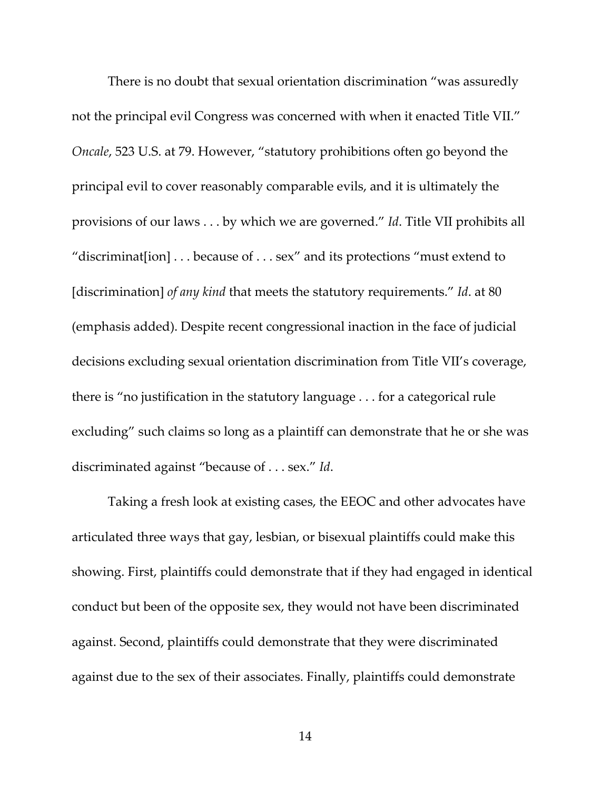There is no doubt that sexual orientation discrimination "was assuredly not the principal evil Congress was concerned with when it enacted Title VII." *Oncale*, 523 U.S. at 79. However, "statutory prohibitions often go beyond the principal evil to cover reasonably comparable evils, and it is ultimately the provisions of our laws . . . by which we are governed." *Id*. Title VII prohibits all "discriminat[ion] . . . because of . . . sex" and its protections "must extend to [discrimination] *of any kind* that meets the statutory requirements." *Id*. at 80 (emphasis added). Despite recent congressional inaction in the face of judicial decisions excluding sexual orientation discrimination from Title VII's coverage, there is "no justification in the statutory language . . . for a categorical rule excluding" such claims so long as a plaintiff can demonstrate that he or she was discriminated against "because of . . . sex." *Id*.

Taking a fresh look at existing cases, the EEOC and other advocates have articulated three ways that gay, lesbian, or bisexual plaintiffs could make this showing. First, plaintiffs could demonstrate that if they had engaged in identical conduct but been of the opposite sex, they would not have been discriminated against. Second, plaintiffs could demonstrate that they were discriminated against due to the sex of their associates. Finally, plaintiffs could demonstrate